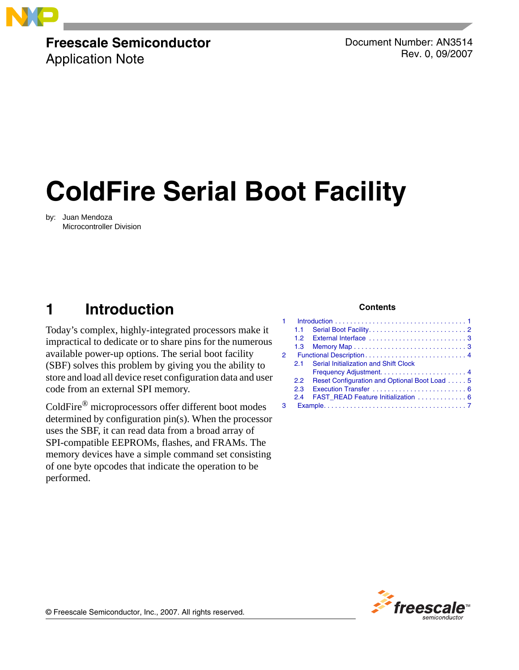

# **Freescale Semiconductor**

Application Note

Document Number: AN3514 Rev. 0, 09/2007

# **ColdFire Serial Boot Facility**

by: Juan Mendoza Microcontroller Division

# <span id="page-0-0"></span>**1 Introduction**

Today's complex, highly-integrated processors make it impractical to dedicate or to share pins for the numerous available power-up options. The serial boot facility (SBF) solves this problem by giving you the ability to store and load all device reset configuration data and user code from an external SPI memory.

ColdFire® microprocessors offer different boot modes determined by configuration pin(s). When the processor uses the SBF, it can read data from a broad array of SPI-compatible EEPROMs, flashes, and FRAMs. The memory devices have a simple command set consisting of one byte opcodes that indicate the operation to be performed.

#### **Contents**

|               | 1.1 |                                              |  |  |  |  |  |  |  |  |  |
|---------------|-----|----------------------------------------------|--|--|--|--|--|--|--|--|--|
|               |     |                                              |  |  |  |  |  |  |  |  |  |
|               | 1.3 |                                              |  |  |  |  |  |  |  |  |  |
| $\mathcal{P}$ |     |                                              |  |  |  |  |  |  |  |  |  |
|               | 21  | Serial Initialization and Shift Clock        |  |  |  |  |  |  |  |  |  |
|               |     |                                              |  |  |  |  |  |  |  |  |  |
|               | 2.2 | Reset Configuration and Optional Boot Load 5 |  |  |  |  |  |  |  |  |  |
|               | 23  |                                              |  |  |  |  |  |  |  |  |  |
|               | 24  | FAST READ Feature Initialization  6          |  |  |  |  |  |  |  |  |  |
|               |     |                                              |  |  |  |  |  |  |  |  |  |
|               |     |                                              |  |  |  |  |  |  |  |  |  |



© Freescale Semiconductor, Inc., 2007. All rights reserved.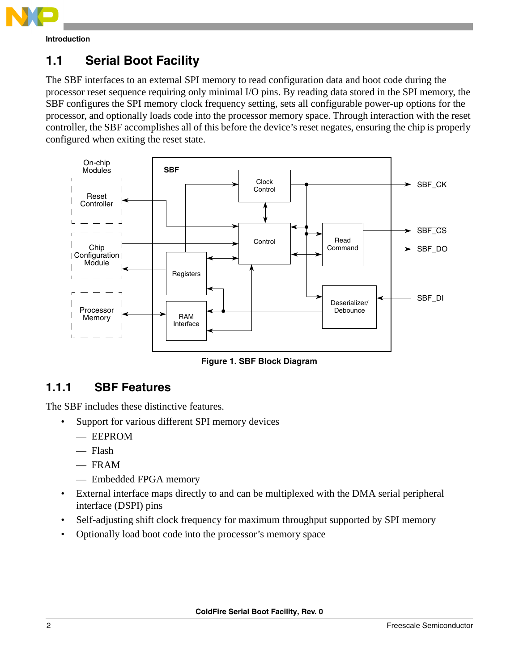

**Introduction**

# <span id="page-1-0"></span>**1.1 Serial Boot Facility**

The SBF interfaces to an external SPI memory to read configuration data and boot code during the processor reset sequence requiring only minimal I/O pins. By reading data stored in the SPI memory, the SBF configures the SPI memory clock frequency setting, sets all configurable power-up options for the processor, and optionally loads code into the processor memory space. Through interaction with the reset controller, the SBF accomplishes all of this before the device's reset negates, ensuring the chip is properly configured when exiting the reset state.



**Figure 1. SBF Block Diagram**

# **1.1.1 SBF Features**

The SBF includes these distinctive features.

- Support for various different SPI memory devices
	- EEPROM
	- Flash
	- $-$  FRAM
	- Embedded FPGA memory
- External interface maps directly to and can be multiplexed with the DMA serial peripheral interface (DSPI) pins
- Self-adjusting shift clock frequency for maximum throughput supported by SPI memory
- Optionally load boot code into the processor's memory space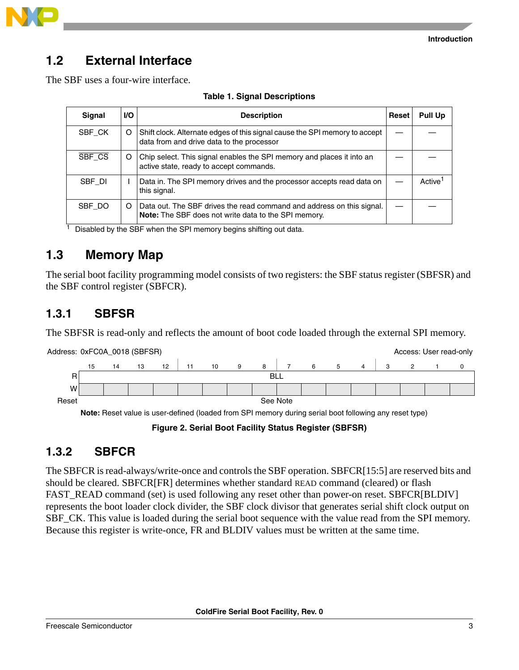

# <span id="page-2-0"></span>**1.2 External Interface**

The SBF uses a four-wire interface.

| Signal | <b>I/O</b> | <b>Description</b>                                                                                                                   | Reset | <b>Pull Up</b>      |
|--------|------------|--------------------------------------------------------------------------------------------------------------------------------------|-------|---------------------|
| SBF CK | O          | Shift clock. Alternate edges of this signal cause the SPI memory to accept<br>data from and drive data to the processor              |       |                     |
| SBF CS | O          | Chip select. This signal enables the SPI memory and places it into an<br>active state, ready to accept commands.                     |       |                     |
| SBF DI |            | Data in. The SPI memory drives and the processor accepts read data on<br>this signal.                                                |       | Active <sup>1</sup> |
| SBF DO | O          | Data out. The SBF drives the read command and address on this signal.<br><b>Note:</b> The SBF does not write data to the SPI memory. |       |                     |

#### **Table 1. Signal Descriptions**

 $\frac{1}{1}$  Disabled by the SBF when the SPI memory begins shifting out data.

# <span id="page-2-1"></span>**1.3 Memory Map**

The serial boot facility programming model consists of two registers: the SBF status register (SBFSR) and the SBF control register (SBFCR).

# **1.3.1 SBFSR**

The SBFSR is read-only and reflects the amount of boot code loaded through the external SPI memory.



**Note:** Reset value is user-defined (loaded from SPI memory during serial boot following any reset type)

**Figure 2. Serial Boot Facility Status Register (SBFSR)**

### **1.3.2 SBFCR**

The SBFCR is read-always/write-once and controls the SBF operation. SBFCR[15:5] are reserved bits and should be cleared. SBFCR[FR] determines whether standard READ command (cleared) or flash FAST\_READ command (set) is used following any reset other than power-on reset. SBFCR[BLDIV] represents the boot loader clock divider, the SBF clock divisor that generates serial shift clock output on SBF\_CK. This value is loaded during the serial boot sequence with the value read from the SPI memory. Because this register is write-once, FR and BLDIV values must be written at the same time.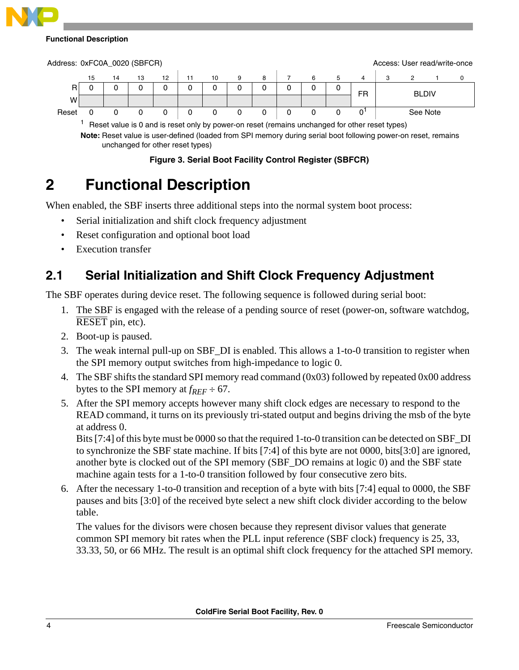#### **Functional Description**

| Address: 0xFC0A_0020 (SBFCR) |                          |   |               |          |    |               |  |         |        |              |          |  | Access: User read/write-once |
|------------------------------|--------------------------|---|---------------|----------|----|---------------|--|---------|--------|--------------|----------|--|------------------------------|
|                              |                          | 4 | 13            | 12       | 10 | я             |  |         |        |              |          |  |                              |
| R                            |                          |   |               | 0        |    |               |  |         | FR     | <b>BLDIV</b> |          |  |                              |
| w                            |                          |   |               |          |    |               |  |         |        |              |          |  |                              |
| Reset                        |                          |   |               |          |    |               |  |         |        |              | See Note |  |                              |
|                              | $\overline{\phantom{0}}$ |   | $\sim$ $\sim$ | $\cdots$ |    | $\sim$ $\sim$ |  | $\cdot$ | $\sim$ | . .          |          |  |                              |

<span id="page-3-2"></span>Reset value is 0 and is reset only by power-on reset (remains unchanged for other reset types) **Note:** Reset value is user-defined (loaded from SPI memory during serial boot following power-on reset, remains

unchanged for other reset types)

#### **Figure 3. Serial Boot Facility Control Register (SBFCR)**

# <span id="page-3-0"></span>**2 Functional Description**

When enabled, the SBF inserts three additional steps into the normal system boot process:

- Serial initialization and shift clock frequency adjustment
- Reset configuration and optional boot load
- Execution transfer

# <span id="page-3-1"></span>**2.1 Serial Initialization and Shift Clock Frequency Adjustment**

The SBF operates during device reset. The following sequence is followed during serial boot:

- 1. The SBF is engaged with the release of a pending source of reset (power-on, software watchdog, RESET pin, etc).
- 2. Boot-up is paused.
- 3. The weak internal pull-up on SBF\_DI is enabled. This allows a 1-to-0 transition to register when the SPI memory output switches from high-impedance to logic 0.
- 4. The SBF shifts the standard SPI memory read command (0x03) followed by repeated 0x00 address bytes to the SPI memory at  $f_{REF} \div 67$ .
- 5. After the SPI memory accepts however many shift clock edges are necessary to respond to the READ command, it turns on its previously tri-stated output and begins driving the msb of the byte at address 0.

Bits [7:4] of this byte must be 0000 so that the required 1-to-0 transition can be detected on SBF\_DI to synchronize the SBF state machine. If bits [7:4] of this byte are not 0000, bits[3:0] are ignored, another byte is clocked out of the SPI memory (SBF\_DO remains at logic 0) and the SBF state machine again tests for a 1-to-0 transition followed by four consecutive zero bits.

6. After the necessary 1-to-0 transition and reception of a byte with bits [7:4] equal to 0000, the SBF pauses and bits [3:0] of the received byte select a new shift clock divider according to the below table.

The values for the divisors were chosen because they represent divisor values that generate common SPI memory bit rates when the PLL input reference (SBF clock) frequency is 25, 33, 33.33, 50, or 66 MHz. The result is an optimal shift clock frequency for the attached SPI memory.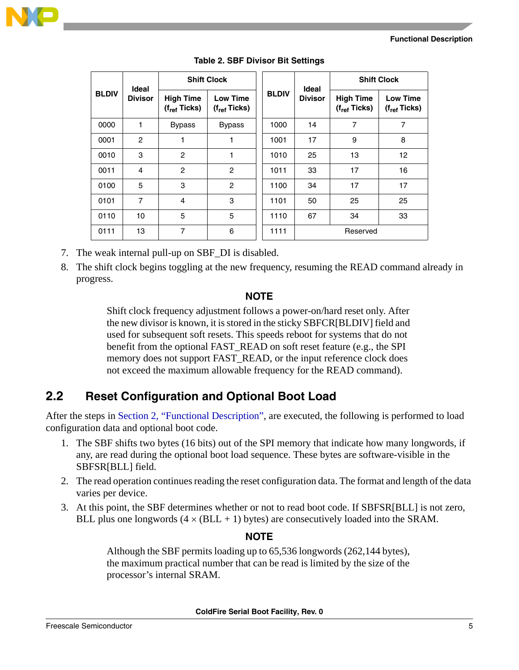#### **Functional Description**



|              | Ideal          |                                       | <b>Shift Clock</b>                   |              | Ideal          | <b>Shift Clock</b>                    |                                      |  |  |
|--------------|----------------|---------------------------------------|--------------------------------------|--------------|----------------|---------------------------------------|--------------------------------------|--|--|
| <b>BLDIV</b> | <b>Divisor</b> | <b>High Time</b><br>$(f_{ref}$ Ticks) | <b>Low Time</b><br>$(f_{ref}$ Ticks) | <b>BLDIV</b> | <b>Divisor</b> | <b>High Time</b><br>$(f_{ref}$ Ticks) | <b>Low Time</b><br>$(f_{ref}$ Ticks) |  |  |
| 0000         | 1              | <b>Bypass</b>                         | <b>Bypass</b>                        | 1000         | 14             | $\overline{7}$                        | 7                                    |  |  |
| 0001         | $\overline{c}$ | 1                                     |                                      | 1001         | 17             | 9                                     | 8                                    |  |  |
| 0010         | 3              | $\overline{c}$                        | 1                                    | 1010         | 25             | 13                                    | 12                                   |  |  |
| 0011         | 4              | $\overline{c}$                        | $\overline{c}$                       | 1011         | 33             | 17                                    | 16                                   |  |  |
| 0100         | 5              | 3                                     | $\overline{c}$                       | 1100         | 34             | 17                                    | 17                                   |  |  |
| 0101         | $\overline{7}$ | $\overline{4}$                        | 3                                    | 1101         | 50             | 25                                    | 25                                   |  |  |
| 0110         | 10             | 5                                     | 5                                    | 1110         | 67             | 34                                    | 33                                   |  |  |
| 0111         | 13             | $\overline{7}$                        | 6                                    | 1111         |                | Reserved                              |                                      |  |  |

**Table 2. SBF Divisor Bit Settings**

- 7. The weak internal pull-up on SBF\_DI is disabled.
- 8. The shift clock begins toggling at the new frequency, resuming the READ command already in progress.

### **NOTE**

Shift clock frequency adjustment follows a power-on/hard reset only. After the new divisor is known, it is stored in the sticky SBFCR[BLDIV] field and used for subsequent soft resets. This speeds reboot for systems that do not benefit from the optional FAST\_READ on soft reset feature (e.g., the SPI memory does not support FAST\_READ, or the input reference clock does not exceed the maximum allowable frequency for the READ command).

# <span id="page-4-0"></span>**2.2 Reset Configuration and Optional Boot Load**

After the steps in [Section 2, "Functional Description"](#page-3-0), are executed, the following is performed to load configuration data and optional boot code.

- 1. The SBF shifts two bytes (16 bits) out of the SPI memory that indicate how many longwords, if any, are read during the optional boot load sequence. These bytes are software-visible in the SBFSR[BLL] field.
- 2. The read operation continues reading the reset configuration data. The format and length of the data varies per device.
- 3. At this point, the SBF determines whether or not to read boot code. If SBFSR[BLL] is not zero, BLL plus one longwords  $(4 \times (BLL + 1)$  bytes) are consecutively loaded into the SRAM.

### **NOTE**

Although the SBF permits loading up to 65,536 longwords (262,144 bytes), the maximum practical number that can be read is limited by the size of the processor's internal SRAM.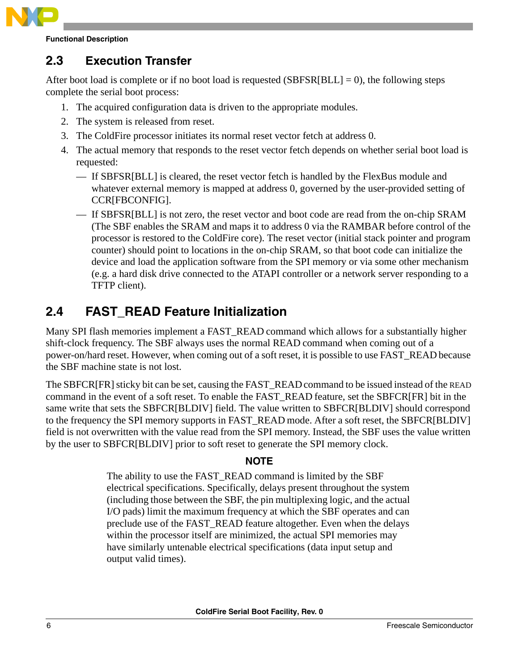

**Functional Description**

# <span id="page-5-0"></span>**2.3 Execution Transfer**

After boot load is complete or if no boot load is requested (SBFSR[BLL]  $= 0$ ), the following steps complete the serial boot process:

- 1. The acquired configuration data is driven to the appropriate modules.
- 2. The system is released from reset.
- 3. The ColdFire processor initiates its normal reset vector fetch at address 0.
- 4. The actual memory that responds to the reset vector fetch depends on whether serial boot load is requested:
	- If SBFSR[BLL] is cleared, the reset vector fetch is handled by the FlexBus module and whatever external memory is mapped at address 0, governed by the user-provided setting of CCR[FBCONFIG].
	- If SBFSR[BLL] is not zero, the reset vector and boot code are read from the on-chip SRAM (The SBF enables the SRAM and maps it to address 0 via the RAMBAR before control of the processor is restored to the ColdFire core). The reset vector (initial stack pointer and program counter) should point to locations in the on-chip SRAM, so that boot code can initialize the device and load the application software from the SPI memory or via some other mechanism (e.g. a hard disk drive connected to the ATAPI controller or a network server responding to a TFTP client).

# <span id="page-5-1"></span>**2.4 FAST\_READ Feature Initialization**

Many SPI flash memories implement a FAST\_READ command which allows for a substantially higher shift-clock frequency. The SBF always uses the normal READ command when coming out of a power-on/hard reset. However, when coming out of a soft reset, it is possible to use FAST\_READ because the SBF machine state is not lost.

The SBFCR[FR] sticky bit can be set, causing the FAST\_READcommand to be issued instead of the READ command in the event of a soft reset. To enable the FAST\_READ feature, set the SBFCR[FR] bit in the same write that sets the SBFCR[BLDIV] field. The value written to SBFCR[BLDIV] should correspond to the frequency the SPI memory supports in FAST\_READ mode. After a soft reset, the SBFCR[BLDIV] field is not overwritten with the value read from the SPI memory. Instead, the SBF uses the value written by the user to SBFCR[BLDIV] prior to soft reset to generate the SPI memory clock.

### **NOTE**

The ability to use the FAST\_READ command is limited by the SBF electrical specifications. Specifically, delays present throughout the system (including those between the SBF, the pin multiplexing logic, and the actual I/O pads) limit the maximum frequency at which the SBF operates and can preclude use of the FAST\_READ feature altogether. Even when the delays within the processor itself are minimized, the actual SPI memories may have similarly untenable electrical specifications (data input setup and output valid times).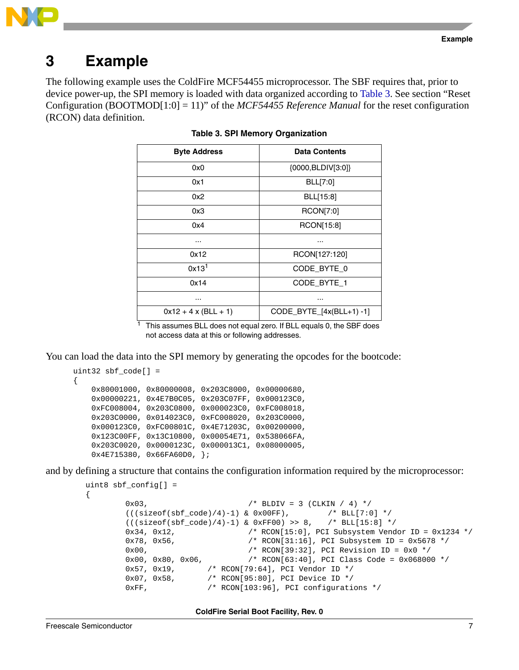



# <span id="page-6-0"></span>**3 Example**

<span id="page-6-1"></span>The following example uses the ColdFire MCF54455 microprocessor. The SBF requires that, prior to device power-up, the SPI memory is loaded with data organized according to [Table 3](#page-6-1). See section "Reset Configuration (BOOTMOD[1:0] = 11)" of the *MCF54455 Reference Manual* for the reset configuration (RCON) data definition.

| <b>Byte Address</b>   | <b>Data Contents</b>     |
|-----------------------|--------------------------|
| 0x0                   | {0000,BLDIV[3:0]}        |
| 0x1                   | BLL[7:0]                 |
| 0x2                   | BLL[15:8]                |
| 0x3                   | RCON[7:0]                |
| 0x4                   | RCON[15:8]               |
|                       |                          |
| 0x12                  | RCON[127:120]            |
| 0x13 <sup>1</sup>     | CODE BYTE 0              |
| 0x14                  | CODE BYTE 1              |
|                       | .                        |
| $0x12 + 4x$ (BLL + 1) | CODE_BYTE_[4x(BLL+1) -1] |

**Table 3. SPI Memory Organization**

This assumes BLL does not equal zero. If BLL equals 0, the SBF does not access data at this or following addresses.

You can load the data into the SPI memory by generating the opcodes for the bootcode:

```
uint32 sbf_code[] =
{
     0x80001000, 0x80000008, 0x203C8000, 0x00000680,
     0x00000221, 0x4E7B0C05, 0x203C07FF, 0x000123C0,
     0xFC008004, 0x203C0800, 0x000023C0, 0xFC008018,
     0x203C0000, 0x014023C0, 0xFC008020, 0x203C0000,
     0x000123C0, 0xFC00801C, 0x4E71203C, 0x00200000,
     0x123C00FF, 0x13C10800, 0x00054E71, 0x538066FA,
     0x203C0020, 0x0000123C, 0x000013C1, 0x08000005,
     0x4E715380, 0x66FA60D0, };
```
and by defining a structure that contains the configuration information required by the microprocessor:

```
uint8 sbf_config[] =
         0x03, /* BDDU = 3 (CLKIN / 4) */((\text{sizeof}(\text{sbf\_code})/4)-1) \& 0x00FF), /* BLL[7:0] */
         ((\text{sizeof}(\text{sbf code})/4)-1) & 0xFF00) >> 8, /* BLL[15:8] */
         0x34, 0x12, /* RCON[15:0], PCI Subsystem Vendor ID = 0x1234 */
         0x78, 0x56, \frac{1}{10} /* RCON[31:16], PCI Subsystem ID = 0x5678 */<br>0x00. \frac{1}{10} /* RCON[39:32], PCI Revision ID = 0x0 */
                                      /* RCON[39:32], PCI Revision ID = 0x0 */
         0x00, 0x80, 0x06, /* RCON[63:40], PCI Class Code = 0x068000 */
         0x57, 0x19, \frac{1}{2} /* RCON[79:64], PCI Vendor ID */
         0x07, 0x58, \frac{1}{8} /* RCON[95:80], PCI Device ID */
         0xFF, /* RCON[103:96], PCI configurations */
```
**ColdFire Serial Boot Facility, Rev. 0**

{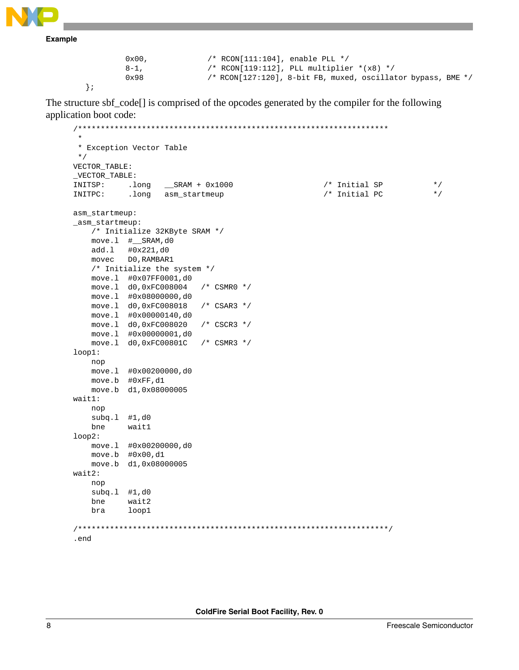**Example**

};

```
0x00, /* RCON[111:104], enable PLL */
8-1, /* RCON[119:112], PLL multiplier *(x8) */
0x98 /* RCON[127:120], 8-bit FB, muxed, oscillator bypass, BME */
```
The structure sbf\_code[] is comprised of the opcodes generated by the compiler for the following application boot code:

```
/********************************************************************
 *
  * Exception Vector Table
  */
VECTOR_TABLE:
_VECTOR_TABLE:
INITSP: .long __SRAM + 0x1000 /* Initial SP */
INITPC: .long asm_startmeup /* Initial PC */
asm_startmeup:
_asm_startmeup:
    /* Initialize 32KByte SRAM */
    move.l #__SRAM,d0
    add.l #0x221,d0
    movec D0,RAMBAR1
    /* Initialize the system */
    move.l #0x07FF0001,d0 
    move.l d0,0xFC008004 /* CSMR0 */
    move.l #0x08000000,d0 
    move.l d0,0xFC008018 /* CSAR3 */
    move.l #0x00000140,d0 
    move.l d0,0xFC008020 /* CSCR3 */
    move.l #0x00000001,d0 
    move.l d0,0xFC00801C /* CSMR3 */
loop1:
    nop
    move.l #0x00200000,d0
    move.b #0xFF,d1
    move.b d1,0x08000005
wait1:
    nop
    subq.l #1,d0
    bne wait1
loop2: 
    move.l #0x00200000,d0
    move.b #0x00,d1
    move.b d1,0x08000005
wait2:
    nop
    subq.l #1,d0
    bne wait2
    bra loop1
/********************************************************************/
.end
```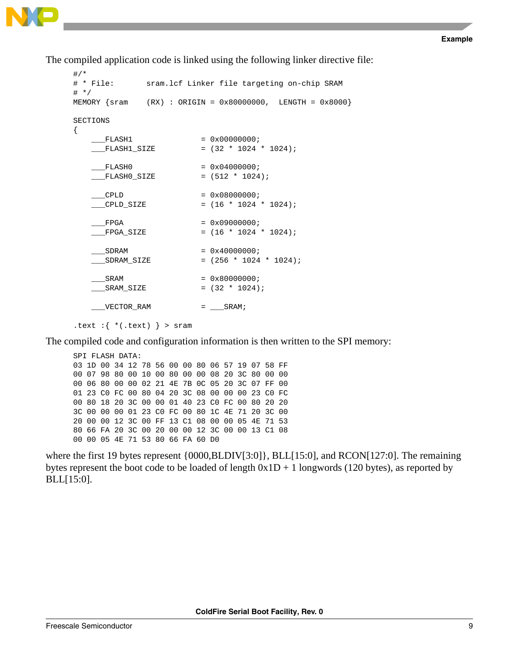The compiled application code is linked using the following linker directive file:

```
#/*<br># * File:
            sram.lcf Linker file targeting on-chip SRAM
# */
MEMORY {sram (RX) : ORIGIN = 0x80000000, LENGTH = 0x8000}
SECTIONS 
{
    FLASH1 = 0x00000000; ___FLASH1_SIZE = (32 * 1024 * 1024);
   FLASH0 = 0x04000000;\_FLASH0\_SIZE = (512 * 1024);
    CPLD = 0 \times 080000000;\angle CPLD_SIZE = (16 * 1024 * 1024);
   FPGA = 0x09000000;
   \_FPGA\_SIZE = (16 * 1024 * 1024);
    SDRAM = 0 \times 40000000i ___SDRAM_SIZE = (256 * 1024 * 1024);
    SRAM = 0x800000000;SRAM SLZE = (32 * 1024);
   \text{VECTOR\_RAM} = \text{SRAM};
.text :\{*(.text) }\} > sram
```
The compiled code and configuration information is then written to the SPI memory:

SPI FLASH DATA: 03 1D 00 34 12 78 56 00 00 80 06 57 19 07 58 FF 00 07 98 80 00 10 00 80 00 00 08 20 3C 80 00 00 00 06 80 00 00 02 21 4E 7B 0C 05 20 3C 07 FF 00 01 23 C0 FC 00 80 04 20 3C 08 00 00 00 23 C0 FC 00 80 18 20 3C 00 00 01 40 23 C0 FC 00 80 20 20 3C 00 00 00 01 23 C0 FC 00 80 1C 4E 71 20 3C 00 20 00 00 12 3C 00 FF 13 C1 08 00 00 05 4E 71 53 80 66 FA 20 3C 00 20 00 00 12 3C 00 00 13 C1 08 00 00 05 4E 71 53 80 66 FA 60 D0

where the first 19 bytes represent  $\{0000, BLDIV[3:0]\}$ , BLL[15:0], and RCON[127:0]. The remaining bytes represent the boot code to be loaded of length  $0x1D + 1$  longwords (120 bytes), as reported by BLL[15:0].